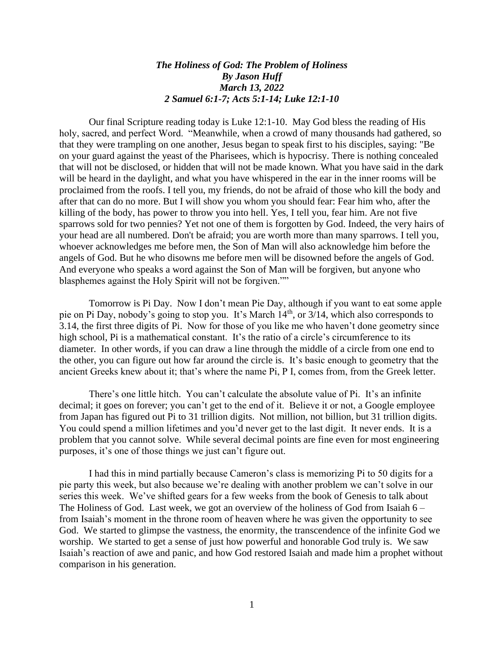## *The Holiness of God: The Problem of Holiness By Jason Huff March 13, 2022 2 Samuel 6:1-7; Acts 5:1-14; Luke 12:1-10*

Our final Scripture reading today is Luke 12:1-10. May God bless the reading of His holy, sacred, and perfect Word. "Meanwhile, when a crowd of many thousands had gathered, so that they were trampling on one another, Jesus began to speak first to his disciples, saying: "Be on your guard against the yeast of the Pharisees, which is hypocrisy. There is nothing concealed that will not be disclosed, or hidden that will not be made known. What you have said in the dark will be heard in the daylight, and what you have whispered in the ear in the inner rooms will be proclaimed from the roofs. I tell you, my friends, do not be afraid of those who kill the body and after that can do no more. But I will show you whom you should fear: Fear him who, after the killing of the body, has power to throw you into hell. Yes, I tell you, fear him. Are not five sparrows sold for two pennies? Yet not one of them is forgotten by God. Indeed, the very hairs of your head are all numbered. Don't be afraid; you are worth more than many sparrows. I tell you, whoever acknowledges me before men, the Son of Man will also acknowledge him before the angels of God. But he who disowns me before men will be disowned before the angels of God. And everyone who speaks a word against the Son of Man will be forgiven, but anyone who blasphemes against the Holy Spirit will not be forgiven.""

Tomorrow is Pi Day. Now I don't mean Pie Day, although if you want to eat some apple pie on Pi Day, nobody's going to stop you. It's March 14<sup>th</sup>, or 3/14, which also corresponds to 3.14, the first three digits of Pi. Now for those of you like me who haven't done geometry since high school, Pi is a mathematical constant. It's the ratio of a circle's circumference to its diameter. In other words, if you can draw a line through the middle of a circle from one end to the other, you can figure out how far around the circle is. It's basic enough to geometry that the ancient Greeks knew about it; that's where the name Pi, P I, comes from, from the Greek letter.

There's one little hitch. You can't calculate the absolute value of Pi. It's an infinite decimal; it goes on forever; you can't get to the end of it. Believe it or not, a Google employee from Japan has figured out Pi to 31 trillion digits. Not million, not billion, but 31 trillion digits. You could spend a million lifetimes and you'd never get to the last digit. It never ends. It is a problem that you cannot solve. While several decimal points are fine even for most engineering purposes, it's one of those things we just can't figure out.

I had this in mind partially because Cameron's class is memorizing Pi to 50 digits for a pie party this week, but also because we're dealing with another problem we can't solve in our series this week. We've shifted gears for a few weeks from the book of Genesis to talk about The Holiness of God. Last week, we got an overview of the holiness of God from Isaiah 6 – from Isaiah's moment in the throne room of heaven where he was given the opportunity to see God. We started to glimpse the vastness, the enormity, the transcendence of the infinite God we worship. We started to get a sense of just how powerful and honorable God truly is. We saw Isaiah's reaction of awe and panic, and how God restored Isaiah and made him a prophet without comparison in his generation.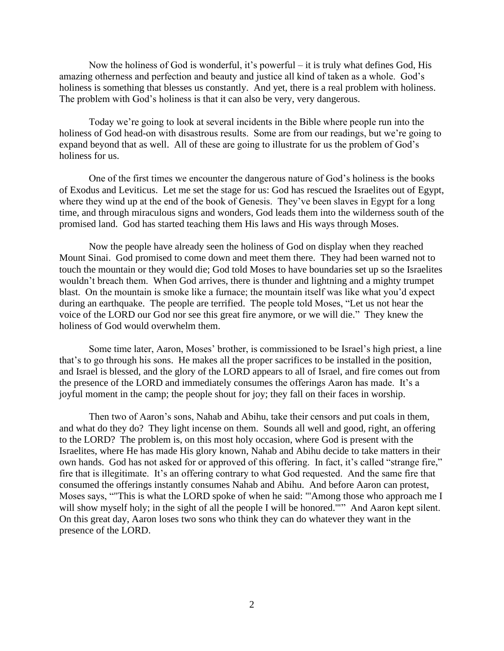Now the holiness of God is wonderful, it's powerful – it is truly what defines God, His amazing otherness and perfection and beauty and justice all kind of taken as a whole. God's holiness is something that blesses us constantly. And yet, there is a real problem with holiness. The problem with God's holiness is that it can also be very, very dangerous.

Today we're going to look at several incidents in the Bible where people run into the holiness of God head-on with disastrous results. Some are from our readings, but we're going to expand beyond that as well. All of these are going to illustrate for us the problem of God's holiness for us.

One of the first times we encounter the dangerous nature of God's holiness is the books of Exodus and Leviticus. Let me set the stage for us: God has rescued the Israelites out of Egypt, where they wind up at the end of the book of Genesis. They've been slaves in Egypt for a long time, and through miraculous signs and wonders, God leads them into the wilderness south of the promised land. God has started teaching them His laws and His ways through Moses.

Now the people have already seen the holiness of God on display when they reached Mount Sinai. God promised to come down and meet them there. They had been warned not to touch the mountain or they would die; God told Moses to have boundaries set up so the Israelites wouldn't breach them. When God arrives, there is thunder and lightning and a mighty trumpet blast. On the mountain is smoke like a furnace; the mountain itself was like what you'd expect during an earthquake. The people are terrified. The people told Moses, "Let us not hear the voice of the LORD our God nor see this great fire anymore, or we will die." They knew the holiness of God would overwhelm them.

Some time later, Aaron, Moses' brother, is commissioned to be Israel's high priest, a line that's to go through his sons. He makes all the proper sacrifices to be installed in the position, and Israel is blessed, and the glory of the LORD appears to all of Israel, and fire comes out from the presence of the LORD and immediately consumes the offerings Aaron has made. It's a joyful moment in the camp; the people shout for joy; they fall on their faces in worship.

Then two of Aaron's sons, Nahab and Abihu, take their censors and put coals in them, and what do they do? They light incense on them. Sounds all well and good, right, an offering to the LORD? The problem is, on this most holy occasion, where God is present with the Israelites, where He has made His glory known, Nahab and Abihu decide to take matters in their own hands. God has not asked for or approved of this offering. In fact, it's called "strange fire," fire that is illegitimate. It's an offering contrary to what God requested. And the same fire that consumed the offerings instantly consumes Nahab and Abihu. And before Aaron can protest, Moses says, ""This is what the LORD spoke of when he said: "'Among those who approach me I will show myself holy; in the sight of all the people I will be honored."" And Aaron kept silent. On this great day, Aaron loses two sons who think they can do whatever they want in the presence of the LORD.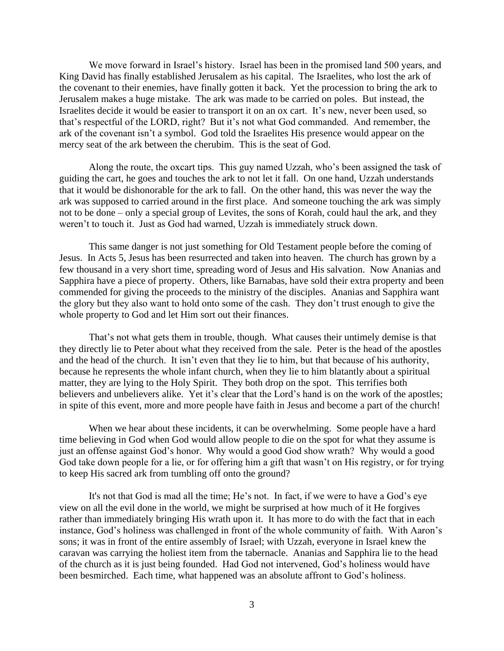We move forward in Israel's history. Israel has been in the promised land 500 years, and King David has finally established Jerusalem as his capital. The Israelites, who lost the ark of the covenant to their enemies, have finally gotten it back. Yet the procession to bring the ark to Jerusalem makes a huge mistake. The ark was made to be carried on poles. But instead, the Israelites decide it would be easier to transport it on an ox cart. It's new, never been used, so that's respectful of the LORD, right? But it's not what God commanded. And remember, the ark of the covenant isn't a symbol. God told the Israelites His presence would appear on the mercy seat of the ark between the cherubim. This is the seat of God.

Along the route, the oxcart tips. This guy named Uzzah, who's been assigned the task of guiding the cart, he goes and touches the ark to not let it fall. On one hand, Uzzah understands that it would be dishonorable for the ark to fall. On the other hand, this was never the way the ark was supposed to carried around in the first place. And someone touching the ark was simply not to be done – only a special group of Levites, the sons of Korah, could haul the ark, and they weren't to touch it. Just as God had warned, Uzzah is immediately struck down.

This same danger is not just something for Old Testament people before the coming of Jesus. In Acts 5, Jesus has been resurrected and taken into heaven. The church has grown by a few thousand in a very short time, spreading word of Jesus and His salvation. Now Ananias and Sapphira have a piece of property. Others, like Barnabas, have sold their extra property and been commended for giving the proceeds to the ministry of the disciples. Ananias and Sapphira want the glory but they also want to hold onto some of the cash. They don't trust enough to give the whole property to God and let Him sort out their finances.

That's not what gets them in trouble, though. What causes their untimely demise is that they directly lie to Peter about what they received from the sale. Peter is the head of the apostles and the head of the church. It isn't even that they lie to him, but that because of his authority, because he represents the whole infant church, when they lie to him blatantly about a spiritual matter, they are lying to the Holy Spirit. They both drop on the spot. This terrifies both believers and unbelievers alike. Yet it's clear that the Lord's hand is on the work of the apostles; in spite of this event, more and more people have faith in Jesus and become a part of the church!

When we hear about these incidents, it can be overwhelming. Some people have a hard time believing in God when God would allow people to die on the spot for what they assume is just an offense against God's honor. Why would a good God show wrath? Why would a good God take down people for a lie, or for offering him a gift that wasn't on His registry, or for trying to keep His sacred ark from tumbling off onto the ground?

It's not that God is mad all the time; He's not. In fact, if we were to have a God's eye view on all the evil done in the world, we might be surprised at how much of it He forgives rather than immediately bringing His wrath upon it. It has more to do with the fact that in each instance, God's holiness was challenged in front of the whole community of faith. With Aaron's sons; it was in front of the entire assembly of Israel; with Uzzah, everyone in Israel knew the caravan was carrying the holiest item from the tabernacle. Ananias and Sapphira lie to the head of the church as it is just being founded. Had God not intervened, God's holiness would have been besmirched. Each time, what happened was an absolute affront to God's holiness.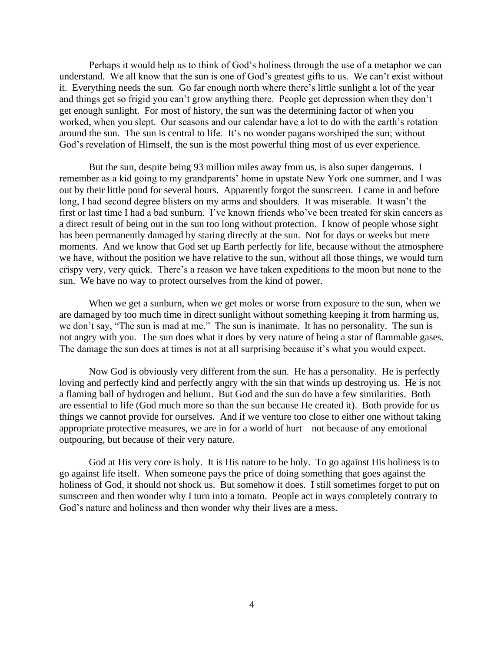Perhaps it would help us to think of God's holiness through the use of a metaphor we can understand. We all know that the sun is one of God's greatest gifts to us. We can't exist without it. Everything needs the sun. Go far enough north where there's little sunlight a lot of the year and things get so frigid you can't grow anything there. People get depression when they don't get enough sunlight. For most of history, the sun was the determining factor of when you worked, when you slept. Our seasons and our calendar have a lot to do with the earth's rotation around the sun. The sun is central to life. It's no wonder pagans worshiped the sun; without God's revelation of Himself, the sun is the most powerful thing most of us ever experience.

But the sun, despite being 93 million miles away from us, is also super dangerous. I remember as a kid going to my grandparents' home in upstate New York one summer, and I was out by their little pond for several hours. Apparently forgot the sunscreen. I came in and before long, I had second degree blisters on my arms and shoulders. It was miserable. It wasn't the first or last time I had a bad sunburn. I've known friends who've been treated for skin cancers as a direct result of being out in the sun too long without protection. I know of people whose sight has been permanently damaged by staring directly at the sun. Not for days or weeks but mere moments. And we know that God set up Earth perfectly for life, because without the atmosphere we have, without the position we have relative to the sun, without all those things, we would turn crispy very, very quick. There's a reason we have taken expeditions to the moon but none to the sun. We have no way to protect ourselves from the kind of power.

When we get a sunburn, when we get moles or worse from exposure to the sun, when we are damaged by too much time in direct sunlight without something keeping it from harming us, we don't say, "The sun is mad at me." The sun is inanimate. It has no personality. The sun is not angry with you. The sun does what it does by very nature of being a star of flammable gases. The damage the sun does at times is not at all surprising because it's what you would expect.

Now God is obviously very different from the sun. He has a personality. He is perfectly loving and perfectly kind and perfectly angry with the sin that winds up destroying us. He is not a flaming ball of hydrogen and helium. But God and the sun do have a few similarities. Both are essential to life (God much more so than the sun because He created it). Both provide for us things we cannot provide for ourselves. And if we venture too close to either one without taking appropriate protective measures, we are in for a world of hurt – not because of any emotional outpouring, but because of their very nature.

God at His very core is holy. It is His nature to be holy. To go against His holiness is to go against life itself. When someone pays the price of doing something that goes against the holiness of God, it should not shock us. But somehow it does. I still sometimes forget to put on sunscreen and then wonder why I turn into a tomato. People act in ways completely contrary to God's nature and holiness and then wonder why their lives are a mess.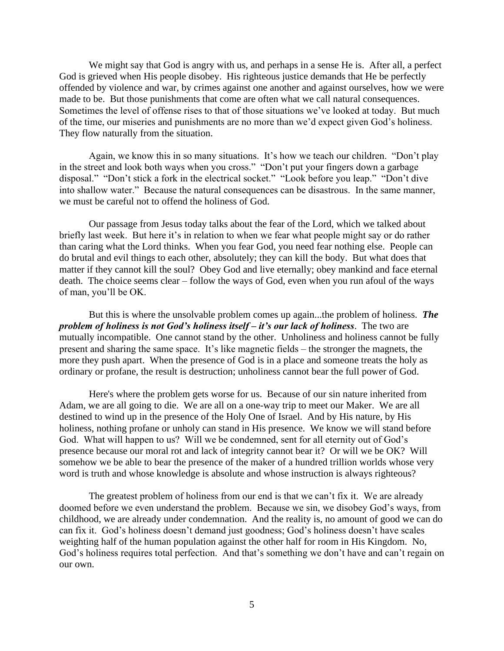We might say that God is angry with us, and perhaps in a sense He is. After all, a perfect God is grieved when His people disobey. His righteous justice demands that He be perfectly offended by violence and war, by crimes against one another and against ourselves, how we were made to be. But those punishments that come are often what we call natural consequences. Sometimes the level of offense rises to that of those situations we've looked at today. But much of the time, our miseries and punishments are no more than we'd expect given God's holiness. They flow naturally from the situation.

Again, we know this in so many situations. It's how we teach our children. "Don't play in the street and look both ways when you cross." "Don't put your fingers down a garbage disposal." "Don't stick a fork in the electrical socket." "Look before you leap." "Don't dive into shallow water." Because the natural consequences can be disastrous. In the same manner, we must be careful not to offend the holiness of God.

Our passage from Jesus today talks about the fear of the Lord, which we talked about briefly last week. But here it's in relation to when we fear what people might say or do rather than caring what the Lord thinks. When you fear God, you need fear nothing else. People can do brutal and evil things to each other, absolutely; they can kill the body. But what does that matter if they cannot kill the soul? Obey God and live eternally; obey mankind and face eternal death. The choice seems clear – follow the ways of God, even when you run afoul of the ways of man, you'll be OK.

But this is where the unsolvable problem comes up again...the problem of holiness. *The problem of holiness is not God's holiness itself – it's our lack of holiness*. The two are mutually incompatible. One cannot stand by the other. Unholiness and holiness cannot be fully present and sharing the same space. It's like magnetic fields – the stronger the magnets, the more they push apart. When the presence of God is in a place and someone treats the holy as ordinary or profane, the result is destruction; unholiness cannot bear the full power of God.

Here's where the problem gets worse for us. Because of our sin nature inherited from Adam, we are all going to die. We are all on a one-way trip to meet our Maker. We are all destined to wind up in the presence of the Holy One of Israel. And by His nature, by His holiness, nothing profane or unholy can stand in His presence. We know we will stand before God. What will happen to us? Will we be condemned, sent for all eternity out of God's presence because our moral rot and lack of integrity cannot bear it? Or will we be OK? Will somehow we be able to bear the presence of the maker of a hundred trillion worlds whose very word is truth and whose knowledge is absolute and whose instruction is always righteous?

The greatest problem of holiness from our end is that we can't fix it. We are already doomed before we even understand the problem. Because we sin, we disobey God's ways, from childhood, we are already under condemnation. And the reality is, no amount of good we can do can fix it. God's holiness doesn't demand just goodness; God's holiness doesn't have scales weighting half of the human population against the other half for room in His Kingdom. No, God's holiness requires total perfection. And that's something we don't have and can't regain on our own.